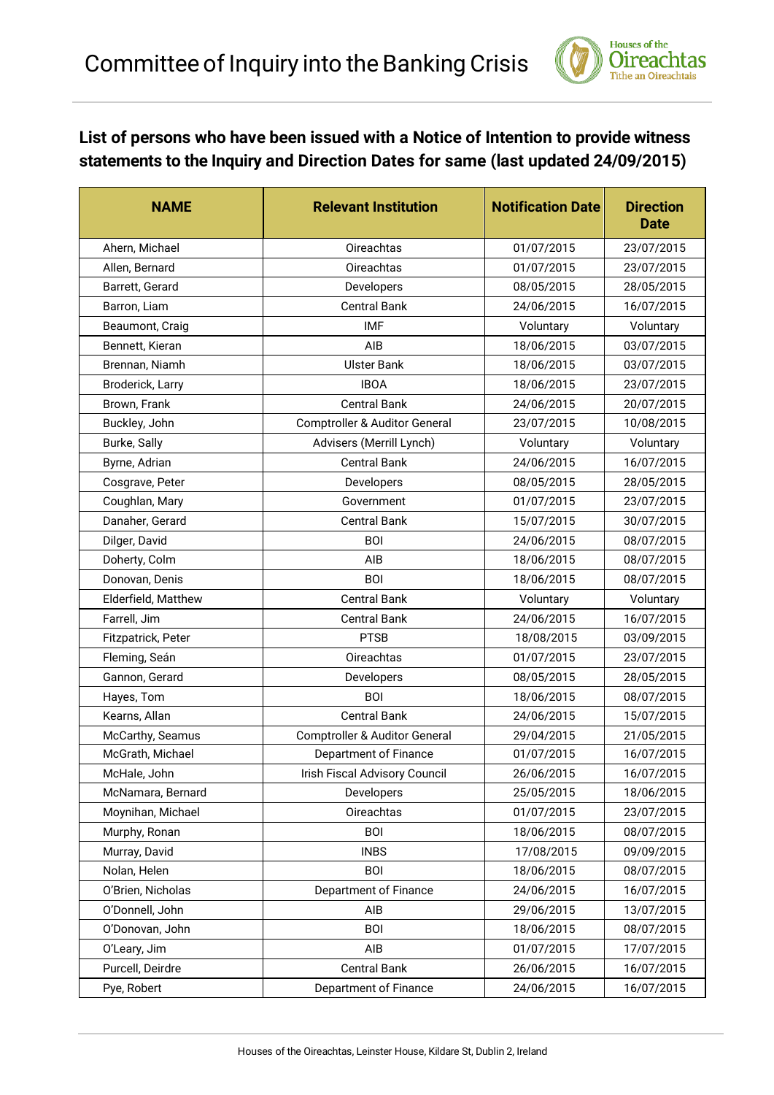

## **List of persons who have been issued with a Notice of Intention to provide witness statements to the Inquiry and Direction Dates for same (last updated 24/09/2015)**

| <b>NAME</b>         | <b>Relevant Institution</b>              | <b>Notification Date</b> | <b>Direction</b><br><b>Date</b> |
|---------------------|------------------------------------------|--------------------------|---------------------------------|
| Ahern, Michael      | Oireachtas                               | 01/07/2015               | 23/07/2015                      |
| Allen, Bernard      | <b>Oireachtas</b>                        | 01/07/2015               | 23/07/2015                      |
| Barrett, Gerard     | Developers                               | 08/05/2015               | 28/05/2015                      |
| Barron, Liam        | <b>Central Bank</b>                      | 24/06/2015               | 16/07/2015                      |
| Beaumont, Craig     | <b>IMF</b>                               | Voluntary                | Voluntary                       |
| Bennett, Kieran     | AIB                                      | 18/06/2015               | 03/07/2015                      |
| Brennan, Niamh      | <b>Ulster Bank</b>                       | 18/06/2015               | 03/07/2015                      |
| Broderick, Larry    | <b>IBOA</b>                              | 18/06/2015               | 23/07/2015                      |
| Brown, Frank        | <b>Central Bank</b>                      | 24/06/2015               | 20/07/2015                      |
| Buckley, John       | Comptroller & Auditor General            | 23/07/2015               | 10/08/2015                      |
| Burke, Sally        | Advisers (Merrill Lynch)                 | Voluntary                | Voluntary                       |
| Byrne, Adrian       | <b>Central Bank</b>                      | 24/06/2015               | 16/07/2015                      |
| Cosgrave, Peter     | Developers                               | 08/05/2015               | 28/05/2015                      |
| Coughlan, Mary      | Government                               | 01/07/2015               | 23/07/2015                      |
| Danaher, Gerard     | <b>Central Bank</b>                      | 15/07/2015               | 30/07/2015                      |
| Dilger, David       | <b>BOI</b>                               | 24/06/2015               | 08/07/2015                      |
| Doherty, Colm       | AIB                                      | 18/06/2015               | 08/07/2015                      |
| Donovan, Denis      | <b>BOI</b>                               | 18/06/2015               | 08/07/2015                      |
| Elderfield, Matthew | <b>Central Bank</b>                      | Voluntary                | Voluntary                       |
| Farrell, Jim        | <b>Central Bank</b>                      | 24/06/2015               | 16/07/2015                      |
| Fitzpatrick, Peter  | <b>PTSB</b>                              | 18/08/2015               | 03/09/2015                      |
| Fleming, Seán       | Oireachtas                               | 01/07/2015               | 23/07/2015                      |
| Gannon, Gerard      | Developers                               | 08/05/2015               | 28/05/2015                      |
| Hayes, Tom          | <b>BOI</b>                               | 18/06/2015               | 08/07/2015                      |
| Kearns, Allan       | <b>Central Bank</b>                      | 24/06/2015               | 15/07/2015                      |
| McCarthy, Seamus    | <b>Comptroller &amp; Auditor General</b> | 29/04/2015               | 21/05/2015                      |
| McGrath, Michael    | Department of Finance                    | 01/07/2015               | 16/07/2015                      |
| McHale, John        | Irish Fiscal Advisory Council            | 26/06/2015               | 16/07/2015                      |
| McNamara, Bernard   | Developers                               | 25/05/2015               | 18/06/2015                      |
| Moynihan, Michael   | Oireachtas                               | 01/07/2015               | 23/07/2015                      |
| Murphy, Ronan       | <b>BOI</b>                               | 18/06/2015               | 08/07/2015                      |
| Murray, David       | <b>INBS</b>                              | 17/08/2015               | 09/09/2015                      |
| Nolan, Helen        | <b>BOI</b>                               | 18/06/2015               | 08/07/2015                      |
| O'Brien, Nicholas   | Department of Finance                    | 24/06/2015               | 16/07/2015                      |
| O'Donnell, John     | AIB                                      | 29/06/2015               | 13/07/2015                      |
| O'Donovan, John     | <b>BOI</b>                               | 18/06/2015               | 08/07/2015                      |
| O'Leary, Jim        | AIB                                      | 01/07/2015               | 17/07/2015                      |
| Purcell, Deirdre    | <b>Central Bank</b>                      | 26/06/2015               | 16/07/2015                      |
| Pye, Robert         | Department of Finance                    | 24/06/2015               | 16/07/2015                      |